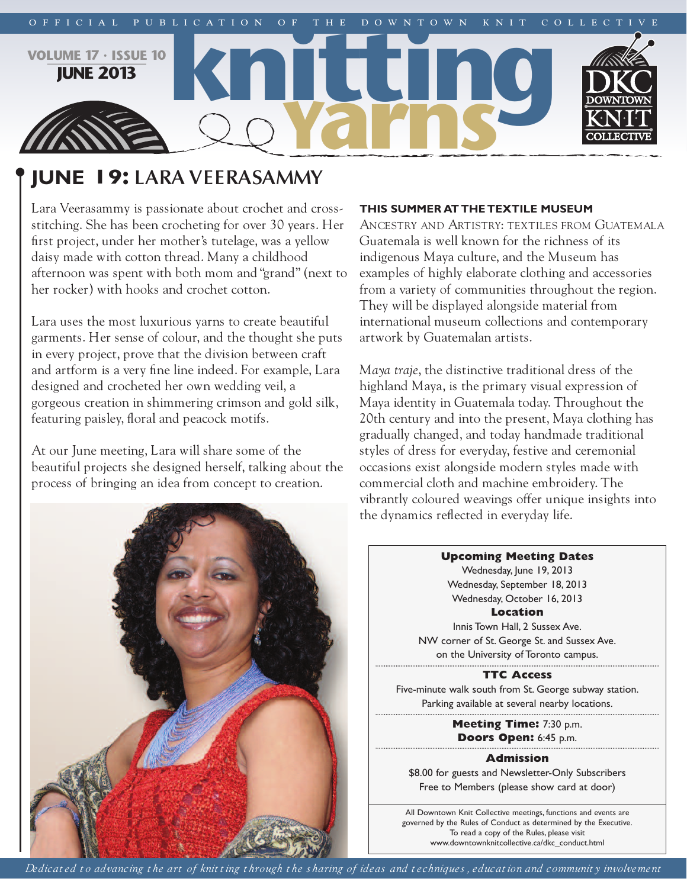

# **june 19: LARA VEERASAMMY**

Lara Veerasammy is passionate about crochet and crossstitching. She has been crocheting for over 30 years. Her first project, under her mother's tutelage, was a yellow daisy made with cotton thread. Many a childhood afternoon was spent with both mom and "grand" (next to her rocker) with hooks and crochet cotton.

Lara uses the most luxurious yarns to create beautiful garments. Her sense of colour, and the thought she puts in every project, prove that the division between craft and artform is a very fine line indeed. For example, Lara designed and crocheted her own wedding veil, a gorgeous creation in shimmering crimson and gold silk, featuring paisley, floral and peacock motifs.

At our June meeting, Lara will share some of the beautiful projects she designed herself, talking about the process of bringing an idea from concept to creation.

## **This summer aT The TexTile museum**

ANCESTRY AND ARTISTRY: TEXTILES FROM GUATEMALA Guatemala is well known for the richness of its indigenous Maya culture, and the Museum has examples of highly elaborate clothing and accessories from a variety of communities throughout the region. They will be displayed alongside material from international museum collections and contemporary artwork by Guatemalan artists.

*Maya traje*, the distinctive traditional dress of the highland Maya, is the primary visual expression of Maya identity in Guatemala today. Throughout the 20th century and into the present, Maya clothing has gradually changed, and today handmade traditional styles of dress for everyday, festive and ceremonial occasions exist alongside modern styles made with commercial cloth and machine embroidery. The vibrantly coloured weavings offer unique insights into the dynamics reflected in everyday life.



**Upcoming Meeting Dates**

Wednesday, June 19, 2013 Wednesday, September 18, 2013 Wednesday, October 16, 2013 **Location**

Innis Town Hall, 2 Sussex Ave. NW corner of St. George St. and Sussex Ave. on the University of Toronto campus.

**TTC Access** Five-minute walk south from St. George subway station. Parking available at several nearby locations.

> **Meeting Time:** 7:30 p.m. **Doors Open:** 6:45 p.m.

> > **Admission**

\$8.00 for guests and Newsletter-Only Subscribers Free to Members (please show card at door)

All Downtown Knit Collective meetings, functions and events are governed by the Rules of Conduct as determined by the Executive. To read a copy of the Rules, please visit www.downtownknitcollective.ca/dkc\_conduct.html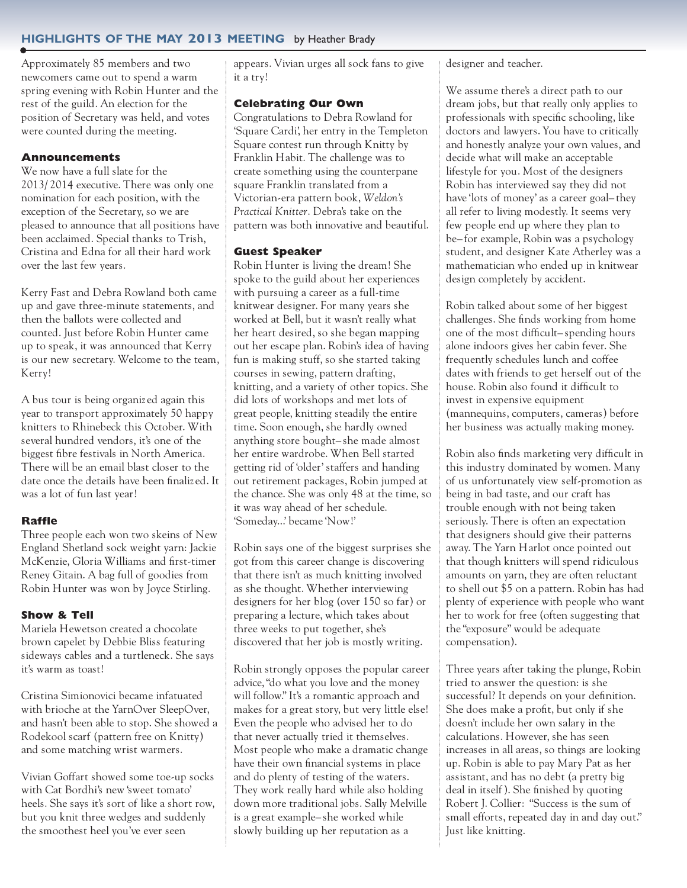## **highlighTs of The may 2013 meeTing** by Heather Brady

Approximately 85 members and two newcomers came out to spend a warm spring evening with Robin Hunter and the rest of the guild. An election for the position of Secretary was held, and votes were counted during the meeting.

#### **Announcements**

We now have a full slate for the 2013/ 2014 executive. There was only one nomination for each position, with the exception of the Secretary, so we are pleased to announce that all positions have been acclaimed. Special thanks to Trish, Cristina and Edna for all their hard work over the last few years.

Kerry Fast and Debra Rowland both came up and gave three-minute statements, and then the ballots were collected and counted. Just before Robin Hunter came up to speak, it was announced that Kerry is our new secretary. Welcome to the team, Kerry!

A bus tour is being organiz ed again this year to transport approximately 50 happy knitters to Rhinebeck this October. With several hundred vendors, it's one of the biggest fibre festivals in North America. There will be an email blast closer to the date once the details have been finaliz ed. It was a lot of fun last year!

#### **Raffle**

Three people each won two skeins of New England Shetland sock weight yarn: Jackie McKenzie, Gloria Williams and first-timer Reney Gitain. A bag full of goodies from Robin Hunter was won by Joyce Stirling.

#### **Show & Tell**

Mariela Hewetson created a chocolate brown capelet by Debbie Bliss featuring sideways cables and a turtleneck. She says it's warm as toast!

Cristina Simionovici became infatuated with brioche at the YarnOver SleepOver, and hasn't been able to stop. She showed a Rodekool scarf (pattern free on Knitty) and some matching wrist warmers.

Vivian Goffart showed some toe-up socks with Cat Bordhi's new 'sweet tomato' heels. She says it's sort of like a short row, but you knit three wedges and suddenly the smoothest heel you've ever seen

appears. Vivian urges all sock fans to give it a try!

#### **Celebrating Our Own**

Congratulations to Debra Rowland for 'Square Cardi', her entry in the Templeton Square contest run through Knitty by Franklin Habit. The challenge was to create something using the counterpane square Franklin translated from a Victorian-era pattern book, *Weldon's Practical Knitter*. Debra's take on the pattern was both innovative and beautiful.

#### **Guest Speaker**

Robin Hunter is living the dream! She spoke to the guild about her experiences with pursuing a career as a full-time knitwear designer. For many years she worked at Bell, but it wasn't really what her heart desired, so she began mapping out her escape plan. Robin's idea of having fun is making stuff, so she started taking courses in sewing, pattern drafting, knitting, and a variety of other topics. She did lots of workshops and met lots of great people, knitting steadily the entire time. Soon enough, she hardly owned anything store bought– she made almost her entire wardrobe. When Bell started getting rid of 'older' staffers and handing out retirement packages, Robin jumped at the chance. She was only 48 at the time, so it was way ahead of her schedule. 'Someday...' became 'Now!'

Robin says one of the biggest surprises she got from this career change is discovering that there isn't as much knitting involved as she thought. Whether interviewing designers for her blog (over 150 so far) or preparing a lecture, which takes about three weeks to put together, she's discovered that her job is mostly writing.

Robin strongly opposes the popular career advice,"do what you love and the money will follow." It's a romantic approach and makes for a great story, but very little else! Even the people who advised her to do that never actually tried it themselves. Most people who make a dramatic change have their own financial systems in place and do plenty of testing of the waters. They work really hard while also holding down more traditional jobs. Sally Melville is a great example– she worked while slowly building up her reputation as a

designer and teacher.

We assume there's a direct path to our dream jobs, but that really only applies to professionals with specific schooling, like doctors and lawyers. You have to critically and honestly analyze your own values, and decide what will make an acceptable lifestyle for you. Most of the designers Robin has interviewed say they did not have 'lots of money' as a career goal– they all refer to living modestly. It seems very few people end up where they plan to be– for example, Robin was a psychology student, and designer Kate Atherley was a mathematician who ended up in knitwear design completely by accident.

Robin talked about some of her biggest challenges. She finds working from home one of the most difficult– spending hours alone indoors gives her cabin fever. She frequently schedules lunch and coffee dates with friends to get herself out of the house. Robin also found it difficult to invest in expensive equipment (mannequins, computers, cameras) before her business was actually making money.

Robin also finds marketing very difficult in this industry dominated by women. Many of us unfortunately view self-promotion as being in bad taste, and our craft has trouble enough with not being taken seriously. There is often an expectation that designers should give their patterns away. The Yarn Harlot once pointed out that though knitters will spend ridiculous amounts on yarn, they are often reluctant to shell out \$5 on a pattern. Robin has had plenty of experience with people who want her to work for free (often suggesting that the "exposure" would be adequate compensation).

Three years after taking the plunge, Robin tried to answer the question: is she successful? It depends on your definition. She does make a profit, but only if she doesn't include her own salary in the calculations. However, she has seen increases in all areas, so things are looking up. Robin is able to pay Mary Pat as her assistant, and has no debt (a pretty big deal in itself). She finished by quoting Robert J. Collier: "Success is the sum of small efforts, repeated day in and day out." Just like knitting.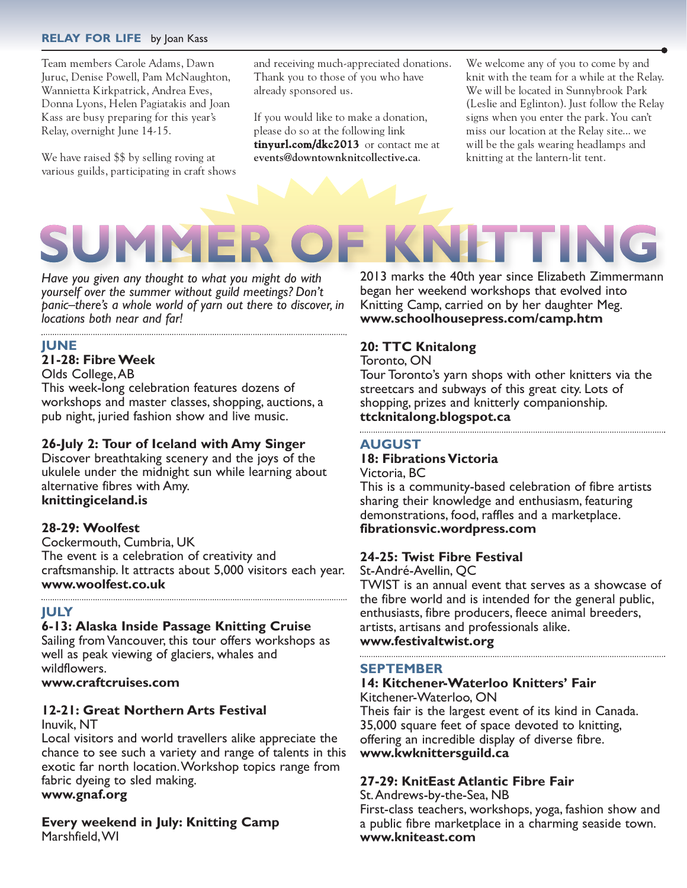## **relay for life** by Joan Kass

Team members Carole Adams, Dawn Juruc, Denise Powell, Pam McNaughton, Wannietta Kirkpatrick, Andrea Eves, Donna Lyons, Helen Pagiatakis and Joan Kass are busy preparing for this year's Relay, overnight June 14-15.

We have raised \$\$ by selling roving at various guilds, participating in craft shows

SUMN

and receiving much-appreciated donations. Thank you to those of you who have already sponsored us.

If you would like to make a donation, please do so at the following link **tinyurl.com/dkc2013** or contact me at **events@downtownknitcollective.ca**.

We welcome any of you to come by and knit with the team for a while at the Relay. We will be located in Sunnybrook Park (Leslie and Eglinton). Just follow the Relay signs when you enter the park. You can't miss our location at the Relay site... we will be the gals wearing headlamps and knitting at the lantern-lit tent.

*Have you given any thought to what you might do with yourself over the summer without guild meetings? Don't panic–there's a whole world of yarn out there to discover, in locations both near and far!*

#### **june**

## **21-28: FibreWeek**

Olds College,AB

This week-long celebration features dozens of workshops and master classes, shopping, auctions, a pub night, juried fashion show and live music.

## **26-July 2: Tour of Iceland with Amy Singer**

Discover breathtaking scenery and the joys of the ukulele under the midnight sun while learning about alternative fibres with Amy. **knittingiceland.is**

## **28-29: Woolfest**

Cockermouth, Cumbria, UK The event is a celebration of creativity and craftsmanship. It attracts about 5,000 visitors each year. **www.woolfest.co.uk**

## **july**

## **6-13: alaska inside Passage Knitting Cruise**

Sailing from Vancouver, this tour offers workshops as well as peak viewing of glaciers, whales and wildflowers.

**www.craftcruises.com**

## **12-21: great northern arts festival**

Inuvik, NT

Local visitors and world travellers alike appreciate the chance to see such a variety and range of talents in this exotic far north location.Workshop topics range from fabric dyeing to sled making.

## **www.gnaf.org**

**Every weekend in july: Knitting Camp** Marshfield,WI

2013 marks the 40th year since Elizabeth Zimmermann began her weekend workshops that evolved into Knitting Camp, carried on by her daughter Meg. **www.schoolhousepress.com/camp.htm**

## **20: TTC Knitalong**

Toronto, ON

Tour Toronto's yarn shops with other knitters via the streetcars and subways of this great city. Lots of shopping, prizes and knitterly companionship. **ttcknitalong.blogspot.ca**

## **augusT**

## **18: Fibrations Victoria**

Victoria, BC

This is a community-based celebration of fibre artists sharing their knowledge and enthusiasm, featuring demonstrations, food, raffles and a marketplace. **fibrationsvic.wordpress.com**

## **24-25: Twist Fibre Festival**

St-André-Avellin, QC

TWIST is an annual event that serves as a showcase of the fibre world and is intended for the general public, enthusiasts, fibre producers, fleece animal breeders, artists, artisans and professionals alike. **www.festivaltwist.org**

## **sePTember**

## **14: Kitchener-Waterloo Knitters' fair**

Kitchener-Waterloo, ON Theis fair is the largest event of its kind in Canada. 35,000 square feet of space devoted to knitting, offering an incredible display of diverse fibre. **www.kwknittersguild.ca**

## **27-29: Kniteast atlantic fibre fair**

St.Andrews-by-the-Sea, NB

First-class teachers, workshops, yoga, fashion show and a public fibre marketplace in a charming seaside town. **www.kniteast.com**